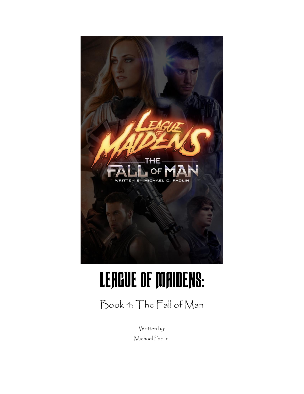

# LEAGUE OF MAIDENS:

Book 4: The Fall of Man

Written by: Michael Paolini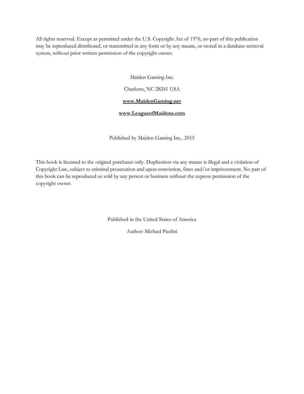All rights reserved. Except as permitted under the U.S. Copyright Act of 1976, no part of this publication may be reproduced distributed, or transmitted in any form or by any means, or stored in a database retrieval system, without prior written permission of the copyright owner.

Maiden Gaming Inc.

Charlotte, NC 28241 USA

#### **<www.MaidenGaming.net>**

#### **<www.LeagueofMaidens.com>**

Published by Maiden Gaming Inc., 2015

This book is licensed to the original purchaser only. Duplication via any means is illegal and a violation of Copyright Law, subject to criminal prosecution and upon conviction, fines and/or imprisonment. No part of this book can be reproduced or sold by any person or business without the express permission of the copyright owner.

Published in the United States of America

Author: Michael Paolini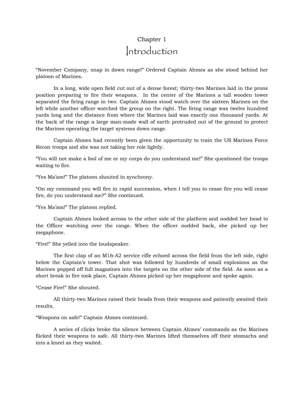## Chapter 1 Introduction

"November Company, snap in down range!" Ordered Captain Ahmes as she stood behind her platoon of Marines.

In a long, wide open field cut out of a dense forest; thirty-two Marines laid in the prone position preparing to fire their weapons. In the center of the Marines a tall wooden tower separated the firing range in two. Captain Ahmes stood watch over the sixteen Marines on the left while another officer watched the group on the right. The firing range was twelve hundred yards long and the distance from where the Marines laid was exactly one thousand yards. At the back of the range a large man-made wall of earth protruded out of the ground to protect the Marines operating the target systems down range.

Captain Ahmes had recently been given the opportunity to train the US Marines Force Recon troops and she was not taking her role lightly.

"You will not make a fool of me or my corps do you understand me!" She questioned the troops waiting to fire.

"Yes Ma'am!" The platoon shouted in synchrony.

"On my command you will fire in rapid succession, when I tell you to cease fire you will cease fire, do you understand me?" She continued.

"Yes Ma'am!" The platoon replied.

Captain Ahmes looked across to the other side of the platform and nodded her head to the Officer watching over the range. When the officer nodded back, she picked up her megaphone.

"Fire!" She yelled into the loudspeaker.

The first clap of an M16-A2 service rifle echoed across the field from the left side, right below the Captain's tower. That shot was followed by hundreds of small explosions as the Marines popped off full magazines into the targets on the other side of the field. As soon as a short break in fire took place, Captain Ahmes picked up her megaphone and spoke again.

"Cease Fire!" She shouted.

All thirty-two Marines raised their heads from their weapons and patiently awaited their results.

"Weapons on safe!" Captain Ahmes continued.

A series of clicks broke the silence between Captain Ahmes' commands as the Marines flicked their weapons to safe. All thirty-two Marines lifted themselves off their stomachs and into a kneel as they waited.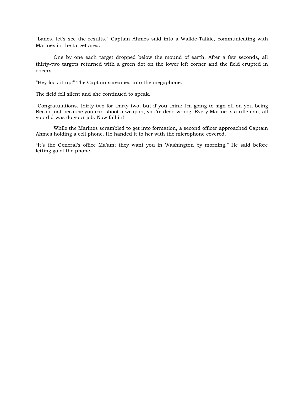"Lanes, let's see the results." Captain Ahmes said into a Walkie-Talkie, communicating with Marines in the target area.

One by one each target dropped below the mound of earth. After a few seconds, all thirty-two targets returned with a green dot on the lower left corner and the field erupted in cheers.

"Hey lock it up!" The Captain screamed into the megaphone.

The field fell silent and she continued to speak.

"Congratulations, thirty-two for thirty-two; but if you think I'm going to sign off on you being Recon just because you can shoot a weapon, you're dead wrong. Every Marine is a rifleman, all you did was do your job. Now fall in!

While the Marines scrambled to get into formation, a second officer approached Captain Ahmes holding a cell phone. He handed it to her with the microphone covered.

"It's the General's office Ma'am; they want you in Washington by morning." He said before letting go of the phone.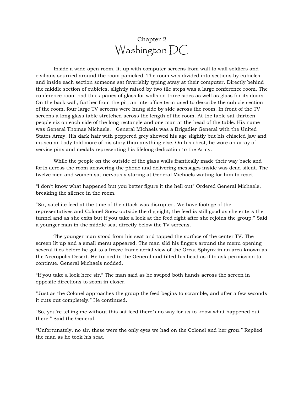## Chapter 2 Washington DC

Inside a wide-open room, lit up with computer screens from wall to wall soldiers and civilians scurried around the room panicked. The room was divided into sections by cubicles and inside each section someone sat feverishly typing away at their computer. Directly behind the middle section of cubicles, slightly raised by two tile steps was a large conference room. The conference room had thick panes of glass for walls on three sides as well as glass for its doors. On the back wall, further from the pit, an interoffice term used to describe the cubicle section of the room, four large TV screens were hung side by side across the room. In front of the TV screens a long glass table stretched across the length of the room. At the table sat thirteen people six on each side of the long rectangle and one man at the head of the table. His name was General Thomas Michaels. General Michaels was a Brigadier General with the United States Army. His dark hair with peppered grey showed his age slightly but his chiseled jaw and muscular body told more of his story than anything else. On his chest, he wore an array of service pins and medals representing his lifelong dedication to the Army.

While the people on the outside of the glass walls frantically made their way back and forth across the room answering the phone and delivering messages inside was dead silent. The twelve men and women sat nervously staring at General Michaels waiting for him to react.

"I don't know what happened but you better figure it the hell out" Ordered General Michaels, breaking the silence in the room.

"Sir, satellite feed at the time of the attack was disrupted. We have footage of the representatives and Colonel Snow outside the dig sight; the feed is still good as she enters the tunnel and as she exits but if you take a look at the feed right after she rejoins the group." Said a younger man in the middle seat directly below the TV screens.

The younger man stood from his seat and tapped the surface of the center TV. The screen lit up and a small menu appeared. The man slid his fingers around the menu opening several files before he got to a freeze frame aerial view of the Great Sphynx in an area known as the Necropolis Desert. He turned to the General and tilted his head as if to ask permission to continue. General Michaels nodded.

"If you take a look here sir," The man said as he swiped both hands across the screen in opposite directions to zoom in closer.

"Just as the Colonel approaches the group the feed begins to scramble, and after a few seconds it cuts out completely." He continued.

"So, you're telling me without this sat feed there's no way for us to know what happened out there." Said the General.

"Unfortunately, no sir, these were the only eyes we had on the Colonel and her grou." Replied the man as he took his seat.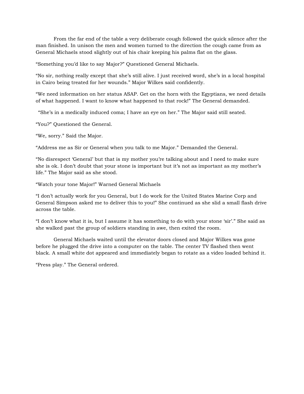From the far end of the table a very deliberate cough followed the quick silence after the man finished. In unison the men and women turned to the direction the cough came from as General Michaels stood slightly out of his chair keeping his palms flat on the glass.

"Something you'd like to say Major?" Questioned General Michaels.

"No sir, nothing really except that she's still alive. I just received word, she's in a local hospital in Cairo being treated for her wounds." Major Wilkes said confidently.

"We need information on her status ASAP. Get on the horn with the Egyptians, we need details of what happened. I want to know what happened to that rock!" The General demanded.

"She's in a medically induced coma; I have an eye on her." The Major said still seated.

"You?" Questioned the General.

"We, sorry." Said the Major.

"Address me as Sir or General when you talk to me Major." Demanded the General.

"No disrespect 'General' but that is my mother you're talking about and I need to make sure she is ok. I don't doubt that your stone is important but it's not as important as my mother's life." The Major said as she stood.

"Watch your tone Major!" Warned General Michaels

"I don't actually work for you General, but I do work for the United States Marine Corp and General Simpson asked me to deliver this to you!" She continued as she slid a small flash drive across the table.

"I don't know what it is, but I assume it has something to do with your stone 'sir'." She said as she walked past the group of soldiers standing in awe, then exited the room.

General Michaels waited until the elevator doors closed and Major Wilkes was gone before he plugged the drive into a computer on the table. The center TV flashed then went black. A small white dot appeared and immediately began to rotate as a video loaded behind it.

"Press play." The General ordered.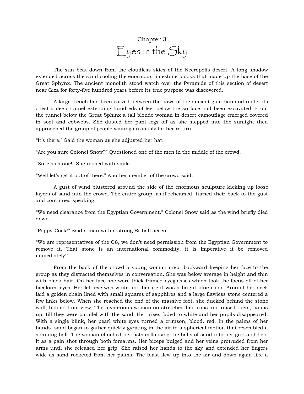# Chapter 3 Eyes in the Sky

The sun beat down from the cloudless skies of the Necropolis desert. A long shadow extended across the sand cooling the enormous limestone blocks that made up the base of the Great Sphynx. The ancient monolith stood watch over the Pyramids of this section of desert near Giza for forty-five hundred years before its true purpose was discovered.

A large trench had been carved between the paws of the ancient guardian and under its chest a deep tunnel extending hundreds of feet below the surface had been excavated. From the tunnel below the Great Sphinx a tall blonde woman in desert camouflage emerged covered in soot and cobwebs. She dusted her pant legs off as she stepped into the sunlight then approached the group of people waiting anxiously for her return.

"It's there." Said the woman as she adjusted her hat.

"Are you sure Colonel Snow?" Questioned one of the men in the middle of the crowd.

"Sure as stone!" She replied with smile.

"Well let's get it out of there." Another member of the crowd said.

A gust of wind blustered around the side of the enormous sculpture kicking up loose layers of sand into the crowd. The entire group, as if rehearsed, turned their back to the gust and continued speaking.

"We need clearance from the Egyptian Government." Colonel Snow said as the wind briefly died down.

"Poppy-Cock!" Said a man with a strong British accent.

"We are representatives of the G8, we don't need permission from the Egyptian Government to remove it. That stone is an international commodity; it is imperative it be removed immediately!"

From the back of the crowd a young woman crept backward keeping her face to the group as they distracted themselves in conversation. She was below average in height and thin with black hair. On her face she wore thick framed eyeglasses which took the focus off of her bicolored eyes. Her left eye was white and her right was a bright blue color. Around her neck laid a golden chain lined with small squares of sapphires and a large flawless stone centered a few links below. When she reached the end of the massive foot, she ducked behind the stone wall, hidden from view. The mysterious woman outstretched her arms and raised them, palms up, till they were parallel with the sand. Her irises faded to white and her pupils disappeared. With a single blink, her pearl white eyes turned a crimson, blood, red. In the palms of her hands, sand began to gather quickly gyrating in the air in a spherical motion that resembled a spinning ball. The woman clinched her fists collapsing the balls of sand into her grip and held it as a pain shot through both forearms. Her biceps bulged and her veins protruded from her arms until she released her grip. She raised her hands to the sky and extended her fingers wide as sand rocketed from her palms. The blast flew up into the air and down again like a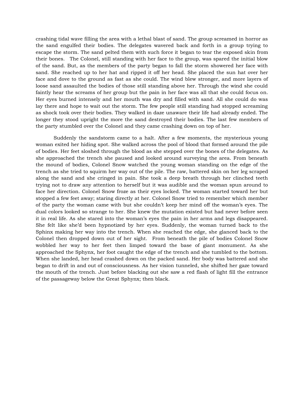crashing tidal wave filling the area with a lethal blast of sand. The group screamed in horror as the sand engulfed their bodies. The delegates wavered back and forth in a group trying to escape the storm. The sand pelted them with such force it began to tear the exposed skin from their bones. The Colonel, still standing with her face to the group, was spared the initial blow of the sand. But, as the members of the party began to fall the storm showered her face with sand. She reached up to her hat and ripped it off her head. She placed the sun hat over her face and dove to the ground as fast as she could. The wind blew stronger, and more layers of loose sand assaulted the bodies of those still standing above her. Through the wind she could faintly hear the screams of her group but the pain in her face was all that she could focus on. Her eyes burned intensely and her mouth was dry and filled with sand. All she could do was lay there and hope to wait out the storm. The few people still standing had stopped screaming as shock took over their bodies. They walked in daze unaware their life had already ended. The longer they stood upright the more the sand destroyed their bodies. The last few members of the party stumbled over the Colonel and they came crashing down on top of her.

Suddenly the sandstorm came to a halt. After a few moments, the mysterious young woman exited her hiding spot. She walked across the pool of blood that formed around the pile of bodies. Her feet sloshed through the blood as she stepped over the bones of the delegates. As she approached the trench she paused and looked around surveying the area. From beneath the mound of bodies, Colonel Snow watched the young woman standing on the edge of the trench as she tried to squirm her way out of the pile. The raw, battered skin on her leg scraped along the sand and she cringed in pain. She took a deep breath through her clinched teeth trying not to draw any attention to herself but it was audible and the woman spun around to face her direction. Colonel Snow froze as their eyes locked. The woman started toward her but stopped a few feet away; staring directly at her. Colonel Snow tried to remember which member of the party the woman came with but she couldn't keep her mind off the woman's eyes. The dual colors looked so strange to her. She knew the mutation existed but had never before seen it in real life. As she stared into the woman's eyes the pain in her arms and legs disappeared. She felt like she'd been hypnotized by her eyes. Suddenly, the woman turned back to the Sphinx making her way into the trench. When she reached the edge, she glanced back to the Colonel then dropped down out of her sight. From beneath the pile of bodies Colonel Snow wobbled her way to her feet then limped toward the base of giant monument. As she approached the Sphynx, her foot caught the edge of the trench and she tumbled to the bottom. When she landed, her head crashed down on the packed sand. Her body was battered and she began to drift in and out of consciousness. As her vision tunneled, she shifted her gaze toward the mouth of the trench. Just before blacking out she saw a red flash of light fill the entrance of the passageway below the Great Sphynx; then black.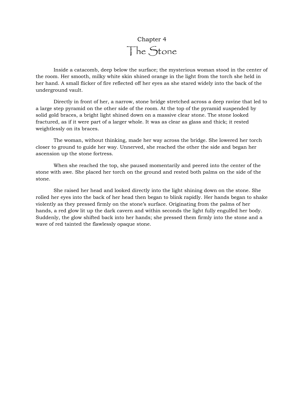

Inside a catacomb, deep below the surface; the mysterious woman stood in the center of the room. Her smooth, milky white skin shined orange in the light from the torch she held in her hand. A small flicker of fire reflected off her eyes as she stared widely into the back of the underground vault.

Directly in front of her, a narrow, stone bridge stretched across a deep ravine that led to a large step pyramid on the other side of the room. At the top of the pyramid suspended by solid gold braces, a bright light shined down on a massive clear stone. The stone looked fractured, as if it were part of a larger whole. It was as clear as glass and thick; it rested weightlessly on its braces.

The woman, without thinking, made her way across the bridge. She lowered her torch closer to ground to guide her way. Unnerved, she reached the other the side and began her ascension up the stone fortress.

When she reached the top, she paused momentarily and peered into the center of the stone with awe. She placed her torch on the ground and rested both palms on the side of the stone.

She raised her head and looked directly into the light shining down on the stone. She rolled her eyes into the back of her head then began to blink rapidly. Her hands began to shake violently as they pressed firmly on the stone's surface. Originating from the palms of her hands, a red glow lit up the dark cavern and within seconds the light fully engulfed her body. Suddenly, the glow shifted back into her hands; she pressed them firmly into the stone and a wave of red tainted the flawlessly opaque stone.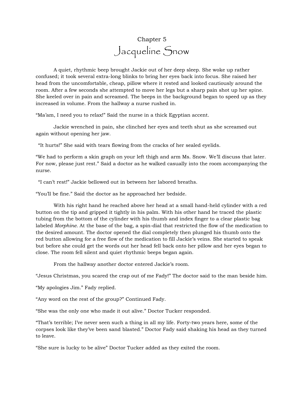# Chapter 5 Jacqueline Snow

A quiet, rhythmic beep brought Jackie out of her deep sleep. She woke up rather confused; it took several extra-long blinks to bring her eyes back into focus. She raised her head from the uncomfortable, cheap, pillow where it rested and looked cautiously around the room. After a few seconds she attempted to move her legs but a sharp pain shot up her spine. She keeled over in pain and screamed. The beeps in the background began to speed up as they increased in volume. From the hallway a nurse rushed in.

"Ma'am, I need you to relax!" Said the nurse in a thick Egyptian accent.

Jackie wrenched in pain, she clinched her eyes and teeth shut as she screamed out again without opening her jaw.

"It hurts!" She said with tears flowing from the cracks of her sealed eyelids.

"We had to perform a skin graph on your left thigh and arm Ms. Snow. We'll discuss that later. For now, please just rest." Said a doctor as he walked casually into the room accompanying the nurse.

"I can't rest!" Jackie bellowed out in between her labored breaths.

"You'll be fine." Said the doctor as he approached her bedside.

With his right hand he reached above her head at a small hand-held cylinder with a red button on the tip and gripped it tightly in his palm. With his other hand he traced the plastic tubing from the bottom of the cylinder with his thumb and index finger to a clear plastic bag labeled *Morphine.* At the base of the bag, a spin-dial that restricted the flow of the medication to the desired amount. The doctor opened the dial completely then plunged his thumb onto the red button allowing for a free flow of the medication to fill Jackie's veins. She started to speak but before she could get the words out her head fell back onto her pillow and her eyes began to close. The room fell silent and quiet rhythmic beeps began again.

From the hallway another doctor entered Jackie's room.

"Jesus Christmas, you scared the crap out of me Fady!" The doctor said to the man beside him.

"My apologies Jim." Fady replied.

"Any word on the rest of the group?" Continued Fady.

"She was the only one who made it out alive." Doctor Tucker responded.

"That's terrible; I've never seen such a thing in all my life. Forty-two years here, some of the corpses look like they've been sand blasted." Doctor Fady said shaking his head as they turned to leave.

"She sure is lucky to be alive" Doctor Tucker added as they exited the room.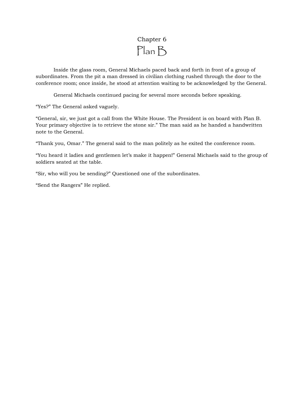# Chapter 6 Plan B

Inside the glass room, General Michaels paced back and forth in front of a group of subordinates. From the pit a man dressed in civilian clothing rushed through the door to the conference room; once inside, he stood at attention waiting to be acknowledged by the General.

General Michaels continued pacing for several more seconds before speaking.

"Yes?" The General asked vaguely.

"General, sir, we just got a call from the White House. The President is on board with Plan B. Your primary objective is to retrieve the stone sir." The man said as he handed a handwritten note to the General.

"Thank you, Omar." The general said to the man politely as he exited the conference room.

"You heard it ladies and gentlemen let's make it happen!" General Michaels said to the group of soldiers seated at the table.

"Sir, who will you be sending?" Questioned one of the subordinates.

"Send the Rangers" He replied.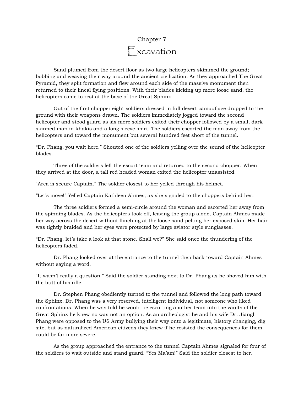# Chapter 7 Excavation

Sand plumed from the desert floor as two large helicopters skimmed the ground; bobbing and weaving their way around the ancient civilization. As they approached The Great Pyramid, they split formation and flew around each side of the massive monument then returned to their lineal flying positions. With their blades kicking up more loose sand, the helicopters came to rest at the base of the Great Sphinx.

Out of the first chopper eight soldiers dressed in full desert camouflage dropped to the ground with their weapons drawn. The soldiers immediately jogged toward the second helicopter and stood guard as six more soldiers exited their chopper followed by a small, dark skinned man in khakis and a long sleeve shirt. The soldiers escorted the man away from the helicopters and toward the monument but several hundred feet short of the tunnel.

"Dr. Phang, you wait here." Shouted one of the soldiers yelling over the sound of the helicopter blades.

Three of the soldiers left the escort team and returned to the second chopper. When they arrived at the door, a tall red headed woman exited the helicopter unassisted.

"Area is secure Captain." The soldier closest to her yelled through his helmet.

"Let's move!" Yelled Captain Kathleen Ahmes, as she signaled to the choppers behind her.

The three soldiers formed a semi-circle around the woman and escorted her away from the spinning blades. As the helicopters took off, leaving the group alone, Captain Ahmes made her way across the desert without flinching at the loose sand pelting her exposed skin. Her hair was tightly braided and her eyes were protected by large aviator style sunglasses.

"Dr. Phang, let's take a look at that stone. Shall we?" She said once the thundering of the helicopters faded.

Dr. Phang looked over at the entrance to the tunnel then back toward Captain Ahmes without saying a word.

"It wasn't really a question." Said the soldier standing next to Dr. Phang as he shoved him with the butt of his rifle.

Dr. Stephen Phang obediently turned to the tunnel and followed the long path toward the Sphinx. Dr. Phang was a very reserved, intelligent individual, not someone who liked confrontations. When he was told he would be escorting another team into the vaults of the Great Sphinx he knew no was not an option. As an archeologist he and his wife Dr. Jiangli Phang were opposed to the US Army bullying their way onto a legitimate, history changing, dig site, but as naturalized American citizens they knew if he resisted the consequences for them could be far more severe.

As the group approached the entrance to the tunnel Captain Ahmes signaled for four of the soldiers to wait outside and stand guard. "Yes Ma'am!" Said the soldier closest to her.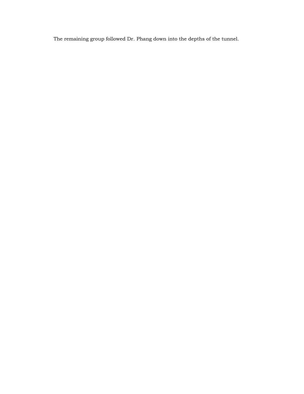The remaining group followed Dr. Phang down into the depths of the tunnel.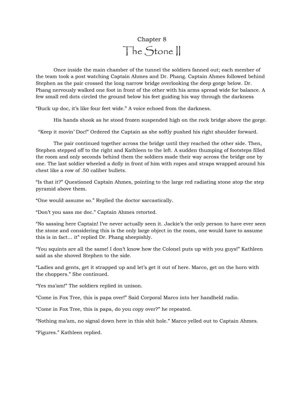# Chapter 8 The Stone II

Once inside the main chamber of the tunnel the soldiers fanned out; each member of the team took a post watching Captain Ahmes and Dr. Phang. Captain Ahmes followed behind Stephen as the pair crossed the long narrow bridge overlooking the deep gorge below. Dr. Phang nervously walked one foot in front of the other with his arms spread wide for balance. A few small red dots circled the ground below his feet guiding his way through the darkness

"Buck up doc, it's like four feet wide." A voice echoed from the darkness.

His hands shook as he stood frozen suspended high on the rock bridge above the gorge.

"Keep it movin' Doc!" Ordered the Captain as she softly pushed his right shoulder forward.

The pair continued together across the bridge until they reached the other side. Then, Stephen stepped off to the right and Kathleen to the left. A sudden thumping of footsteps filled the room and only seconds behind them the soldiers made their way across the bridge one by one. The last soldier wheeled a dolly in front of him with ropes and straps wrapped around his chest like a row of .50 caliber bullets.

"Is that it?" Questioned Captain Ahmes, pointing to the large red radiating stone atop the step pyramid above them.

"One would assume so." Replied the doctor sarcastically.

"Don't you sass me doc." Captain Ahmes retorted.

"No sassing here Captain! I've never actually seen it. Jackie's the only person to have ever seen the stone and considering this is the only large object in the room, one would have to assume this is in fact… it" replied Dr. Phang sheepishly.

"You squints are all the same! I don't know how the Colonel puts up with you guys!" Kathleen said as she shoved Stephen to the side.

"Ladies and gents, get it strapped up and let's get it out of here. Marco, get on the horn with the choppers." She continued.

"Yes ma'am!" The soldiers replied in unison.

"Come in Fox Tree, this is papa over!" Said Corporal Marco into her handheld radio.

"Come in Fox Tree, this is papa, do you copy over?" he repeated.

"Nothing ma'am, no signal down here in this shit hole." Marco yelled out to Captain Ahmes.

"Figures." Kathleen replied.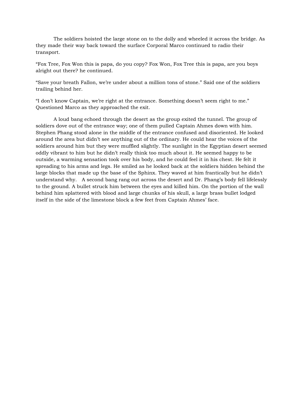The soldiers hoisted the large stone on to the dolly and wheeled it across the bridge. As they made their way back toward the surface Corporal Marco continued to radio their transport.

"Fox Tree, Fox Won this is papa, do you copy? Fox Won, Fox Tree this is papa, are you boys alright out there? he continued.

"Save your breath Fallon, we're under about a million tons of stone." Said one of the soldiers trailing behind her.

"I don't know Captain, we're right at the entrance. Something doesn't seem right to me." Questioned Marco as they approached the exit.

A loud bang echoed through the desert as the group exited the tunnel. The group of soldiers dove out of the entrance way; one of them pulled Captain Ahmes down with him. Stephen Phang stood alone in the middle of the entrance confused and disoriented. He looked around the area but didn't see anything out of the ordinary. He could hear the voices of the soldiers around him but they were muffled slightly. The sunlight in the Egyptian desert seemed oddly vibrant to him but he didn't really think too much about it. He seemed happy to be outside, a warming sensation took over his body, and he could feel it in his chest. He felt it spreading to his arms and legs. He smiled as he looked back at the soldiers hidden behind the large blocks that made up the base of the Sphinx. They waved at him frantically but he didn't understand why. A second bang rang out across the desert and Dr. Phang's body fell lifelessly to the ground. A bullet struck him between the eyes and killed him. On the portion of the wall behind him splattered with blood and large chunks of his skull, a large brass bullet lodged itself in the side of the limestone block a few feet from Captain Ahmes' face.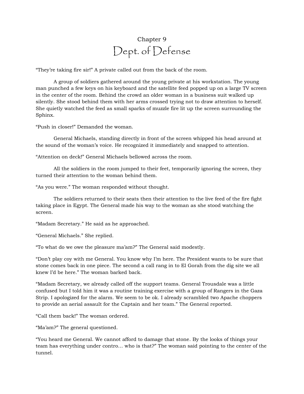# Chapter 9 Dept. of Defense

"They're taking fire sir!" A private called out from the back of the room.

A group of soldiers gathered around the young private at his workstation. The young man punched a few keys on his keyboard and the satellite feed popped up on a large TV screen in the center of the room. Behind the crowd an older woman in a business suit walked up silently. She stood behind them with her arms crossed trying not to draw attention to herself. She quietly watched the feed as small sparks of muzzle fire lit up the screen surrounding the Sphinx.

"Push in closer!" Demanded the woman.

General Michaels, standing directly in front of the screen whipped his head around at the sound of the woman's voice. He recognized it immediately and snapped to attention.

"Attention on deck!" General Michaels bellowed across the room.

All the soldiers in the room jumped to their feet, temporarily ignoring the screen, they turned their attention to the woman behind them.

"As you were." The woman responded without thought.

The soldiers returned to their seats then their attention to the live feed of the fire fight taking place in Egypt. The General made his way to the woman as she stood watching the screen.

"Madam Secretary." He said as he approached.

"General Michaels." She replied.

"To what do we owe the pleasure ma'am?" The General said modestly.

"Don't play coy with me General. You know why I'm here. The President wants to be sure that stone comes back in one piece. The second a call rang in to El Gorah from the dig site we all knew I'd be here." The woman barked back.

"Madam Secretary, we already called off the support teams. General Trousdale was a little confused but I told him it was a routine training exercise with a group of Rangers in the Gaza Strip. I apologized for the alarm. We seem to be ok. I already scrambled two Apache choppers to provide an aerial assault for the Captain and her team." The General reported.

"Call them back!" The woman ordered.

"Ma'am?" The general questioned.

"You heard me General. We cannot afford to damage that stone. By the looks of things your team has everything under contro… who is that?" The woman said pointing to the center of the tunnel.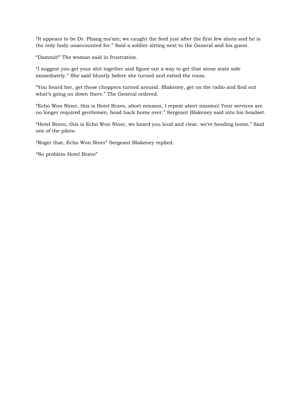"It appears to be Dr. Phang ma'am; we caught the feed just after the first few shots and he is the only body unaccounted for." Said a soldier sitting next to the General and his guest.

"Dammit!" The woman said in frustration.

"I suggest you get your shit together and figure out a way to get that stone state side immediately." She said bluntly before she turned and exited the room.

"You heard her, get those choppers turned around. Blakeney, get on the radio and find out what's going on down there." The General ordered.

"Echo Won Niner, this is Hotel Bravo, abort mission, I repeat abort mission! Your services are no longer required gentlemen, head back home over." Sergeant Blakeney said into his headset.

"Hotel Bravo, this is Echo Won Niner, we heard you loud and clear, we're heading home." Said one of the pilots.

"Roger that, Echo Won Niner" Sergeant Blakeney replied.

"No problem Hotel Bravo"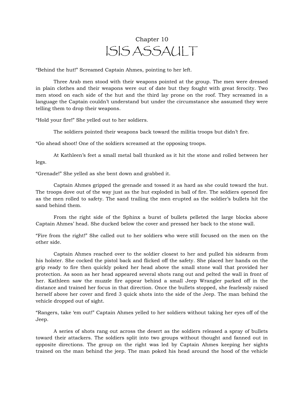# Chapter 10 ISIS ASSAULT

"Behind the hut!" Screamed Captain Ahmes, pointing to her left.

Three Arab men stood with their weapons pointed at the group. The men were dressed in plain clothes and their weapons were out of date but they fought with great ferocity. Two men stood on each side of the hut and the third lay prone on the roof. They screamed in a language the Captain couldn't understand but under the circumstance she assumed they were telling them to drop their weapons.

"Hold your fire!" She yelled out to her soldiers.

The soldiers pointed their weapons back toward the militia troops but didn't fire.

"Go ahead shoot! One of the soldiers screamed at the opposing troops.

At Kathleen's feet a small metal ball thunked as it hit the stone and rolled between her legs.

"Grenade!" She yelled as she bent down and grabbed it.

Captain Ahmes gripped the grenade and tossed it as hard as she could toward the hut. The troops dove out of the way just as the hut exploded in ball of fire. The soldiers opened fire as the men rolled to safety. The sand trailing the men erupted as the soldier's bullets hit the sand behind them.

From the right side of the Sphinx a burst of bullets pelleted the large blocks above Captain Ahmes' head. She ducked below the cover and pressed her back to the stone wall.

"Fire from the right!" She called out to her soldiers who were still focused on the men on the other side.

Captain Ahmes reached over to the soldier closest to her and pulled his sidearm from his holster. She cocked the pistol back and flicked off the safety. She placed her hands on the grip ready to fire then quickly poked her head above the small stone wall that provided her protection. As soon as her head appeared several shots rang out and pelted the wall in front of her. Kathleen saw the muzzle fire appear behind a small Jeep Wrangler parked off in the distance and trained her focus in that direction. Once the bullets stopped, she fearlessly raised herself above her cover and fired 3 quick shots into the side of the Jeep. The man behind the vehicle dropped out of sight.

"Rangers, take 'em out!" Captain Ahmes yelled to her soldiers without taking her eyes off of the Jeep.

A series of shots rang out across the desert as the soldiers released a spray of bullets toward their attackers. The soldiers split into two groups without thought and fanned out in opposite directions. The group on the right was led by Captain Ahmes keeping her sights trained on the man behind the jeep. The man poked his head around the hood of the vehicle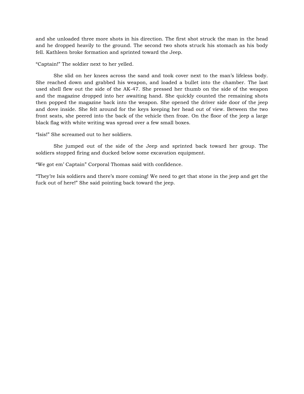and she unloaded three more shots in his direction. The first shot struck the man in the head and he dropped heavily to the ground. The second two shots struck his stomach as his body fell. Kathleen broke formation and sprinted toward the Jeep.

"Captain!" The soldier next to her yelled.

She slid on her knees across the sand and took cover next to the man's lifeless body. She reached down and grabbed his weapon, and loaded a bullet into the chamber. The last used shell flew out the side of the AK-47. She pressed her thumb on the side of the weapon and the magazine dropped into her awaiting hand. She quickly counted the remaining shots then popped the magazine back into the weapon. She opened the driver side door of the jeep and dove inside. She felt around for the keys keeping her head out of view. Between the two front seats, she peered into the back of the vehicle then froze. On the floor of the jeep a large black flag with white writing was spread over a few small boxes.

"Isis!" She screamed out to her soldiers.

She jumped out of the side of the Jeep and sprinted back toward her group. The soldiers stopped firing and ducked below some excavation equipment.

"We got em' Captain" Corporal Thomas said with confidence.

"They're Isis soldiers and there's more coming! We need to get that stone in the jeep and get the fuck out of here!" She said pointing back toward the jeep.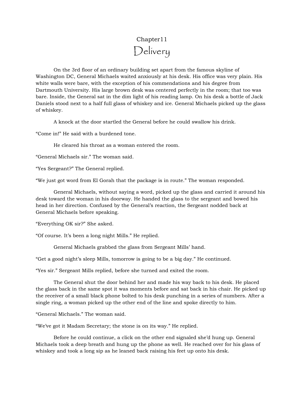# Chapter11 Delivery

On the 3rd floor of an ordinary building set apart from the famous skyline of Washington DC, General Michaels waited anxiously at his desk. His office was very plain. His white walls were bare, with the exception of his commendations and his degree from Dartmouth University. His large brown desk was centered perfectly in the room; that too was bare. Inside, the General sat in the dim light of his reading lamp. On his desk a bottle of Jack Daniels stood next to a half full glass of whiskey and ice. General Michaels picked up the glass of whiskey.

A knock at the door startled the General before he could swallow his drink.

"Come in!" He said with a burdened tone.

He cleared his throat as a woman entered the room.

"General Michaels sir." The woman said.

"Yes Sergeant?" The General replied.

"We just got word from El Gorah that the package is in route." The woman responded.

General Michaels, without saying a word, picked up the glass and carried it around his desk toward the woman in his doorway. He handed the glass to the sergeant and bowed his head in her direction. Confused by the General's reaction, the Sergeant nodded back at General Michaels before speaking.

"Everything OK sir?" She asked.

"Of course. It's been a long night Mills." He replied.

General Michaels grabbed the glass from Sergeant Mills' hand.

"Get a good night's sleep Mills, tomorrow is going to be a big day." He continued.

"Yes sir." Sergeant Mills replied, before she turned and exited the room.

The General shut the door behind her and made his way back to his desk. He placed the glass back in the same spot it was moments before and sat back in his chair. He picked up the receiver of a small black phone bolted to his desk punching in a series of numbers. After a single ring, a woman picked up the other end of the line and spoke directly to him.

"General Michaels." The woman said.

"We've got it Madam Secretary; the stone is on its way." He replied.

Before he could continue, a click on the other end signaled she'd hung up. General Michaels took a deep breath and hung up the phone as well. He reached over for his glass of whiskey and took a long sip as he leaned back raising his feet up onto his desk.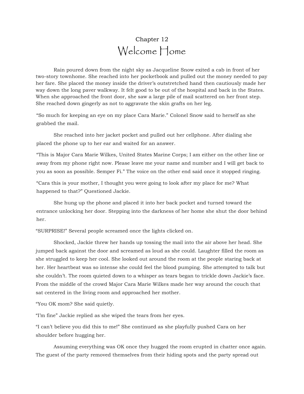## Chapter 12 Welcome Home

Rain poured down from the night sky as Jacqueline Snow exited a cab in front of her two-story townhome. She reached into her pocketbook and pulled out the money needed to pay her fare. She placed the money inside the driver's outstretched hand then cautiously made her way down the long paver walkway. It felt good to be out of the hospital and back in the States. When she approached the front door, she saw a large pile of mail scattered on her front step. She reached down gingerly as not to aggravate the skin grafts on her leg.

"So much for keeping an eye on my place Cara Marie." Colonel Snow said to herself as she grabbed the mail.

She reached into her jacket pocket and pulled out her cellphone. After dialing she placed the phone up to her ear and waited for an answer.

"This is Major Cara Marie Wilkes, United States Marine Corps; I am either on the other line or away from my phone right now. Please leave me your name and number and I will get back to you as soon as possible. Semper Fi." The voice on the other end said once it stopped ringing.

"Cara this is your mother, I thought you were going to look after my place for me? What happened to that?" Questioned Jackie.

She hung up the phone and placed it into her back pocket and turned toward the entrance unlocking her door. Stepping into the darkness of her home she shut the door behind her.

"SURPRISE!" Several people screamed once the lights clicked on.

Shocked, Jackie threw her hands up tossing the mail into the air above her head. She jumped back against the door and screamed as loud as she could. Laughter filled the room as she struggled to keep her cool. She looked out around the room at the people staring back at her. Her heartbeat was so intense she could feel the blood pumping. She attempted to talk but she couldn't. The room quieted down to a whisper as tears began to trickle down Jackie's face. From the middle of the crowd Major Cara Marie Wilkes made her way around the couch that sat centered in the living room and approached her mother.

"You OK mom? She said quietly.

"I'm fine" Jackie replied as she wiped the tears from her eyes.

"I can't believe you did this to me!" She continued as she playfully pushed Cara on her shoulder before hugging her.

Assuming everything was OK once they hugged the room erupted in chatter once again. The guest of the party removed themselves from their hiding spots and the party spread out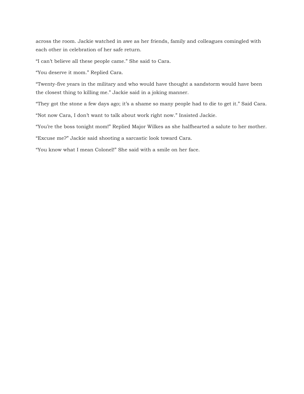across the room. Jackie watched in awe as her friends, family and colleagues comingled with each other in celebration of her safe return.

"I can't believe all these people came." She said to Cara.

"You deserve it mom." Replied Cara.

"Twenty-five years in the military and who would have thought a sandstorm would have been the closest thing to killing me." Jackie said in a joking manner.

"They got the stone a few days ago; it's a shame so many people had to die to get it." Said Cara.

"Not now Cara, I don't want to talk about work right now." Insisted Jackie.

"You're the boss tonight mom!" Replied Major Wilkes as she halfhearted a salute to her mother.

"Excuse me?" Jackie said shooting a sarcastic look toward Cara.

"You know what I mean Colonel!" She said with a smile on her face.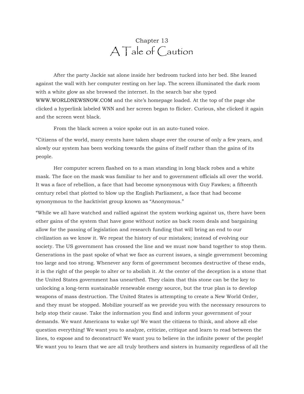#### Chapter 13 A Tale of Caution

After the party Jackie sat alone inside her bedroom tucked into her bed. She leaned against the wall with her computer resting on her lap. The screen illuminated the dark room with a white glow as she browsed the internet. In the search bar she typed <WWW.WORLDNEWSNOW.COM> and the site's homepage loaded. At the top of the page she clicked a hyperlink labeled WNN and her screen began to flicker. Curious, she clicked it again and the screen went black.

From the black screen a voice spoke out in an auto-tuned voice.

"Citizens of the world, many events have taken shape over the course of only a few years, and slowly our system has been working towards the gains of itself rather than the gains of its people.

Her computer screen flashed on to a man standing in long black robes and a white mask. The face on the mask was familiar to her and to government officials all over the world. It was a face of rebellion, a face that had become synonymous with Guy Fawkes; a fifteenth century rebel that plotted to blow up the English Parliament, a face that had become synonymous to the hacktivist group known as "Anonymous."

"While we all have watched and rallied against the system working against us, there have been other gains of the system that have gone without notice as back room deals and bargaining allow for the passing of legislation and research funding that will bring an end to our civilization as we know it. We repeat the history of our mistakes; instead of evolving our society. The US government has crossed the line and we must now band together to stop them. Generations in the past spoke of what we face as current issues, a single government becoming too large and too strong. Whenever any form of government becomes destructive of these ends, it is the right of the people to alter or to abolish it. At the center of the deception is a stone that the United States government has unearthed. They claim that this stone can be the key to unlocking a long-term sustainable renewable energy source, but the true plan is to develop weapons of mass destruction. The United States is attempting to create a New World Order, and they must be stopped. Mobilize yourself as we provide you with the necessary resources to help stop their cause. Take the information you find and inform your government of your demands. We want Americans to wake up! We want the citizens to think, and above all else question everything! We want you to analyze, criticize, critique and learn to read between the lines, to expose and to deconstruct! We want you to believe in the infinite power of the people! We want you to learn that we are all truly brothers and sisters in humanity regardless of all the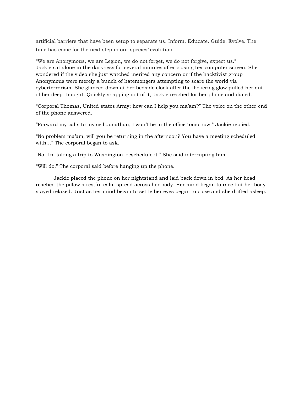artificial barriers that have been setup to separate us. Inform. Educate. Guide. Evolve. The time has come for the next step in our species' evolution.

"We are Anonymous, we are Legion, we do not forget, we do not forgive, expect us." Jackie sat alone in the darkness for several minutes after closing her computer screen. She wondered if the video she just watched merited any concern or if the hacktivist group Anonymous were merely a bunch of hatemongers attempting to scare the world via cyberterrorism. She glanced down at her bedside clock after the flickering glow pulled her out of her deep thought. Quickly snapping out of it, Jackie reached for her phone and dialed.

"Corporal Thomas, United states Army; how can I help you ma'am?" The voice on the other end of the phone answered.

"Forward my calls to my cell Jonathan, I won't be in the office tomorrow." Jackie replied.

"No problem ma'am, will you be returning in the afternoon? You have a meeting scheduled with…" The corporal began to ask.

"No, I'm taking a trip to Washington, reschedule it." She said interrupting him.

"Will do." The corporal said before hanging up the phone.

Jackie placed the phone on her nightstand and laid back down in bed. As her head reached the pillow a restful calm spread across her body. Her mind began to race but her body stayed relaxed. Just as her mind began to settle her eyes began to close and she drifted asleep.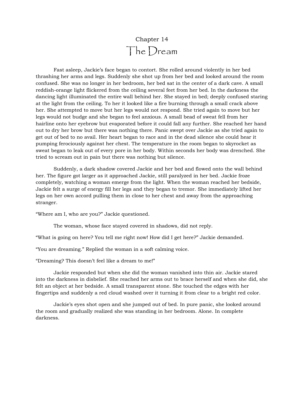# Chapter 14 The Dream

Fast asleep, Jackie's face began to contort. She rolled around violently in her bed thrashing her arms and legs. Suddenly she shot up from her bed and looked around the room confused. She was no longer in her bedroom, her bed sat in the center of a dark cave. A small reddish-orange light flickered from the ceiling several feet from her bed. In the darkness the dancing light illuminated the entire wall behind her. She stayed in bed; deeply confused staring at the light from the ceiling. To her it looked like a fire burning through a small crack above her. She attempted to move but her legs would not respond. She tried again to move but her legs would not budge and she began to feel anxious. A small bead of sweat fell from her hairline onto her eyebrow but evaporated before it could fall any further. She reached her hand out to dry her brow but there was nothing there. Panic swept over Jackie as she tried again to get out of bed to no avail. Her heart began to race and in the dead silence she could hear it pumping ferociously against her chest. The temperature in the room began to skyrocket as sweat began to leak out of every pore in her body. Within seconds her body was drenched. She tried to scream out in pain but there was nothing but silence.

Suddenly, a dark shadow covered Jackie and her bed and flowed onto the wall behind her. The figure got larger as it approached Jackie, still paralyzed in her bed. Jackie froze completely, watching a woman emerge from the light. When the woman reached her bedside, Jackie felt a surge of energy fill her legs and they began to tremor. She immediately lifted her legs on her own accord pulling them in close to her chest and away from the approaching stranger.

"Where am I, who are you?" Jackie questioned.

The woman, whose face stayed covered in shadows, did not reply.

"What is going on here? You tell me right now! How did I get here?" Jackie demanded.

"You are dreaming." Replied the woman in a soft calming voice.

"Dreaming? This doesn't feel like a dream to me!"

Jackie responded but when she did the woman vanished into thin air. Jackie stared into the darkness in disbelief. She reached her arms out to brace herself and when she did, she felt an object at her bedside. A small transparent stone. She touched the edges with her fingertips and suddenly a red cloud washed over it turning it from clear to a bright red color.

Jackie's eyes shot open and she jumped out of bed. In pure panic, she looked around the room and gradually realized she was standing in her bedroom. Alone. In complete darkness.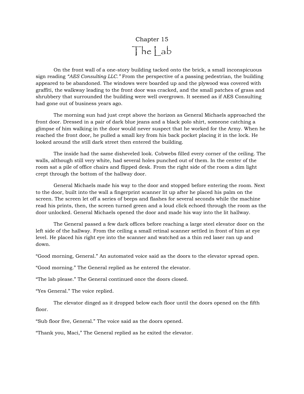Chapter 15 The Lab

On the front wall of a one-story building tacked onto the brick, a small inconspicuous sign reading *"AES Consulting LLC."* From the perspective of a passing pedestrian, the building appeared to be abandoned. The windows were boarded up and the plywood was covered with graffiti, the walkway leading to the front door was cracked, and the small patches of grass and shrubbery that surrounded the building were well overgrown. It seemed as if AES Consulting had gone out of business years ago.

The morning sun had just crept above the horizon as General Michaels approached the front door. Dressed in a pair of dark blue jeans and a black polo shirt, someone catching a glimpse of him walking in the door would never suspect that he worked for the Army. When he reached the front door, he pulled a small key from his back pocket placing it in the lock. He looked around the still dark street then entered the building.

The inside had the same disheveled look. Cobwebs filled every corner of the ceiling. The walls, although still very white, had several holes punched out of them. In the center of the room sat a pile of office chairs and flipped desk. From the right side of the room a dim light crept through the bottom of the hallway door.

General Michaels made his way to the door and stopped before entering the room. Next to the door, built into the wall a fingerprint scanner lit up after he placed his palm on the screen. The screen let off a series of beeps and flashes for several seconds while the machine read his prints, then, the screen turned green and a loud click echoed through the room as the door unlocked. General Michaels opened the door and made his way into the lit hallway.

The General passed a few dark offices before reaching a large steel elevator door on the left side of the hallway. From the ceiling a small retinal scanner settled in front of him at eye level. He placed his right eye into the scanner and watched as a thin red laser ran up and down.

"Good morning, General." An automated voice said as the doors to the elevator spread open.

"Good morning." The General replied as he entered the elevator.

"The lab please." The General continued once the doors closed.

"Yes General." The voice replied.

The elevator dinged as it dropped below each floor until the doors opened on the fifth floor.

"Sub floor five, General." The voice said as the doors opened.

"Thank you, Maci," The General replied as he exited the elevator.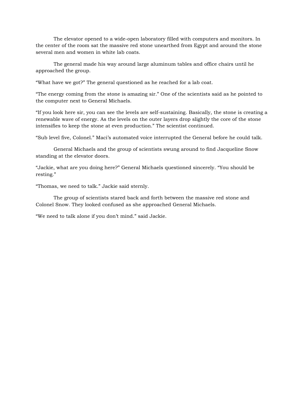The elevator opened to a wide-open laboratory filled with computers and monitors. In the center of the room sat the massive red stone unearthed from Egypt and around the stone several men and women in white lab coats.

The general made his way around large aluminum tables and office chairs until he approached the group.

"What have we got?" The general questioned as he reached for a lab coat.

"The energy coming from the stone is amazing sir." One of the scientists said as he pointed to the computer next to General Michaels.

"If you look here sir, you can see the levels are self-sustaining. Basically, the stone is creating a renewable wave of energy. As the levels on the outer layers drop slightly the core of the stone intensifies to keep the stone at even production." The scientist continued.

"Sub level five, Colonel." Maci's automated voice interrupted the General before he could talk.

General Michaels and the group of scientists swung around to find Jacqueline Snow standing at the elevator doors.

"Jackie, what are you doing here?" General Michaels questioned sincerely. "You should be resting."

"Thomas, we need to talk." Jackie said sternly.

The group of scientists stared back and forth between the massive red stone and Colonel Snow. They looked confused as she approached General Michaels.

"We need to talk alone if you don't mind." said Jackie.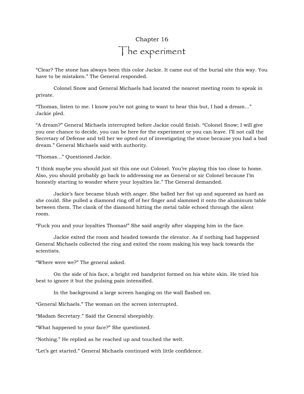# Chapter 16 The experiment

"Clear? The stone has always been this color Jackie. It came out of the burial site this way. You have to be mistaken." The General responded.

Colonel Snow and General Michaels had located the nearest meeting room to speak in private.

"Thomas, listen to me. I know you're not going to want to hear this but, I had a dream…" Jackie pled.

"A dream?" General Michaels interrupted before Jackie could finish. "Colonel Snow; I will give you one chance to decide, you can be here for the experiment or you can leave. I'll not call the Secretary of Defense and tell her we opted out of investigating the stone because you had a bad dream." General Michaels said with authority.

"Thomas…" Questioned Jackie.

"I think maybe you should just sit this one out Colonel. You're playing this too close to home. Also, you should probably go back to addressing me as General or sir Colonel because I'm honestly starting to wonder where your loyalties lie." The General demanded.

Jackie's face became blush with anger. She balled her fist up and squeezed as hard as she could. She pulled a diamond ring off of her finger and slammed it onto the aluminum table between them. The clank of the diamond hitting the metal table echoed through the silent room.

"Fuck you and your loyalties Thomas!" She said angrily after slapping him in the face.

Jackie exited the room and headed towards the elevator. As if nothing had happened General Michaels collected the ring and exited the room making his way back towards the scientists.

"Where were we?" The general asked.

On the side of his face, a bright red handprint formed on his white skin. He tried his best to ignore it but the pulsing pain intensified.

In the background a large screen hanging on the wall flashed on.

"General Michaels." The woman on the screen interrupted.

"Madam Secretary." Said the General sheepishly.

"What happened to your face?" She questioned.

"Nothing." He replied as he reached up and touched the welt.

"Let's get started." General Michaels continued with little confidence.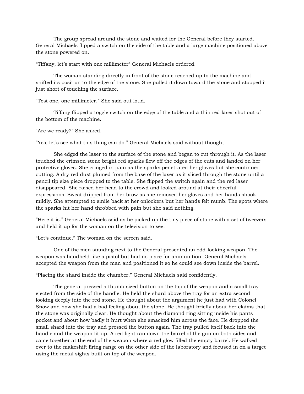The group spread around the stone and waited for the General before they started. General Michaels flipped a switch on the side of the table and a large machine positioned above the stone powered on.

"Tiffany, let's start with one millimeter" General Michaels ordered.

The woman standing directly in front of the stone reached up to the machine and shifted its position to the edge of the stone. She pulled it down toward the stone and stopped it just short of touching the surface.

"Test one, one millimeter." She said out loud.

Tiffany flipped a toggle switch on the edge of the table and a thin red laser shot out of the bottom of the machine.

"Are we ready?" She asked.

"Yes, let's see what this thing can do." General Michaels said without thought.

She edged the laser to the surface of the stone and began to cut through it. As the laser touched the crimson stone bright red sparks flew off the edges of the cuts and landed on her protective gloves. She cringed in pain as the sparks penetrated her gloves but she continued cutting. A dry red dust plumed from the base of the laser as it sliced through the stone until a pencil tip size piece dropped to the table. She flipped the switch again and the red laser disappeared. She raised her head to the crowd and looked around at their cheerful expressions. Sweat dripped from her brow as she removed her gloves and her hands shook mildly. She attempted to smile back at her onlookers but her hands felt numb. The spots where the sparks hit her hand throbbed with pain but she said nothing.

"Here it is." General Michaels said as he picked up the tiny piece of stone with a set of tweezers and held it up for the woman on the television to see.

"Let's continue." The woman on the screen said.

One of the men standing next to the General presented an odd-looking weapon. The weapon was handheld like a pistol but had no place for ammunition. General Michaels accepted the weapon from the man and positioned it so he could see down inside the barrel.

"Placing the shard inside the chamber." General Michaels said confidently.

The general pressed a thumb sized button on the top of the weapon and a small tray ejected from the side of the handle. He held the shard above the tray for an extra second looking deeply into the red stone. He thought about the argument he just had with Colonel Snow and how she had a bad feeling about the stone. He thought briefly about her claims that the stone was originally clear. He thought about the diamond ring sitting inside his pants pocket and about how badly it hurt when she smacked him across the face. He dropped the small shard into the tray and pressed the button again. The tray pulled itself back into the handle and the weapon lit up. A red light ran down the barrel of the gun on both sides and came together at the end of the weapon where a red glow filled the empty barrel. He walked over to the makeshift firing range on the other side of the laboratory and focused in on a target using the metal sights built on top of the weapon.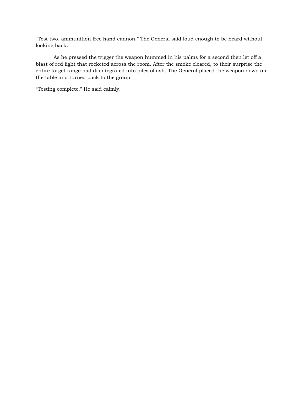"Test two, ammunition free hand cannon." The General said loud enough to be heard without looking back.

As he pressed the trigger the weapon hummed in his palms for a second then let off a blast of red light that rocketed across the room. After the smoke cleared, to their surprise the entire target range had disintegrated into piles of ash. The General placed the weapon down on the table and turned back to the group.

"Testing complete." He said calmly.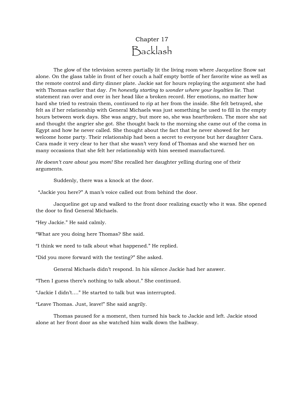## Chapter 17 Backlash

The glow of the television screen partially lit the living room where Jacqueline Snow sat alone. On the glass table in front of her couch a half empty bottle of her favorite wine as well as the remote control and dirty dinner plate. Jackie sat for hours replaying the argument she had with Thomas earlier that day. *I'm honestly starting to wonder where your loyalties lie.* That statement ran over and over in her head like a broken record. Her emotions, no matter how hard she tried to restrain them, continued to rip at her from the inside. She felt betrayed, she felt as if her relationship with General Michaels was just something he used to fill in the empty hours between work days. She was angry, but more so, she was heartbroken. The more she sat and thought the angrier she got. She thought back to the morning she came out of the coma in Egypt and how he never called. She thought about the fact that he never showed for her welcome home party. Their relationship had been a secret to everyone but her daughter Cara. Cara made it very clear to her that she wasn't very fond of Thomas and she warned her on many occasions that she felt her relationship with him seemed manufactured.

*He doesn't care about you mom!* She recalled her daughter yelling during one of their arguments.

Suddenly, there was a knock at the door.

"Jackie you here?" A man's voice called out from behind the door.

Jacqueline got up and walked to the front door realizing exactly who it was. She opened the door to find General Michaels.

"Hey Jackie." He said calmly.

"What are you doing here Thomas? She said.

"I think we need to talk about what happened." He replied.

"Did you move forward with the testing?" She asked.

General Michaels didn't respond. In his silence Jackie had her answer.

"Then I guess there's nothing to talk about." She continued.

"Jackie I didn't…." He started to talk but was interrupted.

"Leave Thomas. Just, leave!" She said angrily.

Thomas paused for a moment, then turned his back to Jackie and left. Jackie stood alone at her front door as she watched him walk down the hallway.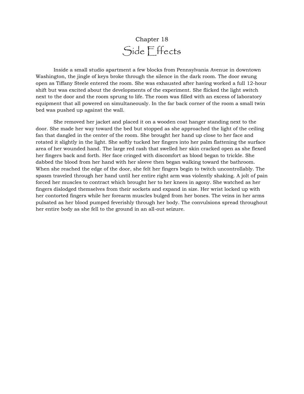## Chapter 18 Side Effects

Inside a small studio apartment a few blocks from Pennsylvania Avenue in downtown Washington, the jingle of keys broke through the silence in the dark room. The door swung open as Tiffany Steele entered the room. She was exhausted after having worked a full 12-hour shift but was excited about the developments of the experiment. She flicked the light switch next to the door and the room sprung to life. The room was filled with an excess of laboratory equipment that all powered on simultaneously. In the far back corner of the room a small twin bed was pushed up against the wall.

She removed her jacket and placed it on a wooden coat hanger standing next to the door. She made her way toward the bed but stopped as she approached the light of the ceiling fan that dangled in the center of the room. She brought her hand up close to her face and rotated it slightly in the light. She softly tucked her fingers into her palm flattening the surface area of her wounded hand. The large red rash that swelled her skin cracked open as she flexed her fingers back and forth. Her face cringed with discomfort as blood began to trickle. She dabbed the blood from her hand with her sleeve then began walking toward the bathroom. When she reached the edge of the door, she felt her fingers begin to twitch uncontrollably. The spasm traveled through her hand until her entire right arm was violently shaking. A jolt of pain forced her muscles to contract which brought her to her knees in agony. She watched as her fingers dislodged themselves from their sockets and expand in size. Her wrist locked up with her contorted fingers while her forearm muscles bulged from her bones. The veins in her arms pulsated as her blood pumped feverishly through her body. The convulsions spread throughout her entire body as she fell to the ground in an all-out seizure.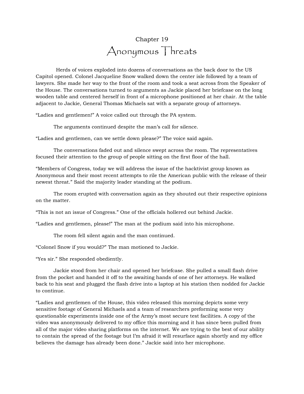# Chapter 19 Anonymous Threats

Herds of voices exploded into dozens of conversations as the back door to the US Capitol opened. Colonel Jacqueline Snow walked down the center isle followed by a team of lawyers. She made her way to the front of the room and took a seat across from the Speaker of the House. The conversations turned to arguments as Jackie placed her briefcase on the long wooden table and centered herself in front of a microphone positioned at her chair. At the table adjacent to Jackie, General Thomas Michaels sat with a separate group of attorneys.

"Ladies and gentlemen!" A voice called out through the PA system.

The arguments continued despite the man's call for silence.

"Ladies and gentlemen, can we settle down please?" The voice said again.

The conversations faded out and silence swept across the room. The representatives focused their attention to the group of people sitting on the first floor of the hall.

"Members of Congress, today we will address the issue of the hacktivist group known as Anonymous and their most recent attempts to rile the American public with the release of their newest threat." Said the majority leader standing at the podium.

The room erupted with conversation again as they shouted out their respective opinions on the matter.

"This is not an issue of Congress." One of the officials hollered out behind Jackie.

"Ladies and gentlemen, please!" The man at the podium said into his microphone.

The room fell silent again and the man continued.

"Colonel Snow if you would?" The man motioned to Jackie.

"Yes sir." She responded obediently.

Jackie stood from her chair and opened her briefcase. She pulled a small flash drive from the pocket and handed it off to the awaiting hands of one of her attorneys. He walked back to his seat and plugged the flash drive into a laptop at his station then nodded for Jackie to continue.

"Ladies and gentlemen of the House, this video released this morning depicts some very sensitive footage of General Michaels and a team of researchers preforming some very questionable experiments inside one of the Army's most secure test facilities. A copy of the video was anonymously delivered to my office this morning and it has since been pulled from all of the major video sharing platforms on the internet. We are trying to the best of our ability to contain the spread of the footage but I'm afraid it will resurface again shortly and my office believes the damage has already been done." Jackie said into her microphone.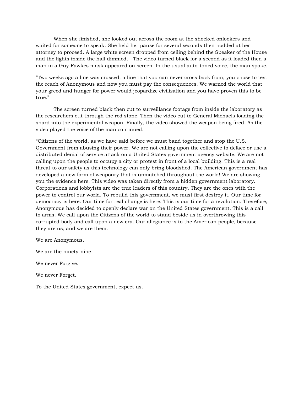When she finished, she looked out across the room at the shocked onlookers and waited for someone to speak. She held her pause for several seconds then nodded at her attorney to proceed. A large white screen dropped from ceiling behind the Speaker of the House and the lights inside the hall dimmed. The video turned black for a second as it loaded then a man in a Guy Fawkes mask appeared on screen. In the usual auto-toned voice, the man spoke.

"Two weeks ago a line was crossed, a line that you can never cross back from; you chose to test the reach of Anonymous and now you must pay the consequences. We warned the world that your greed and hunger for power would jeopardize civilization and you have proven this to be true."

The screen turned black then cut to surveillance footage from inside the laboratory as the researchers cut through the red stone. Then the video cut to General Michaels loading the shard into the experimental weapon. Finally, the video showed the weapon being fired. As the video played the voice of the man continued.

"Citizens of the world, as we have said before we must band together and stop the U.S. Government from abusing their power. We are not calling upon the collective to deface or use a distributed denial of service attack on a United States government agency website. We are not calling upon the people to occupy a city or protest in front of a local building. This is a real threat to our safety as this technology can only bring bloodshed. The American government has developed a new form of weaponry that is unmatched throughout the world! We are showing you the evidence here. This video was taken directly from a hidden government laboratory. Corporations and lobbyists are the true leaders of this country. They are the ones with the power to control our world. To rebuild this government, we must first destroy it. Our time for democracy is here. Our time for real change is here. This is our time for a revolution. Therefore, Anonymous has decided to openly declare war on the United States government. This is a call to arms. We call upon the Citizens of the world to stand beside us in overthrowing this corrupted body and call upon a new era. Our allegiance is to the American people, because they are us, and we are them.

We are Anonymous.

We are the ninety-nine.

We never Forgive.

We never Forget.

To the United States government, expect us.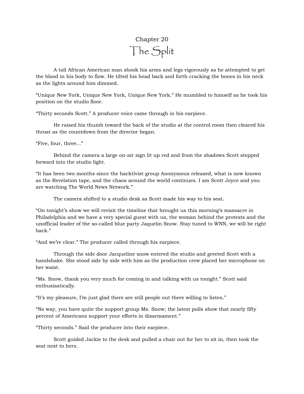# Chapter 20 The Split

A tall African American man shook his arms and legs vigorously as he attempted to get the blood in his body to flow. He tilted his head back and forth cracking the bones in his neck as the lights around him dimmed.

"Unique New York, Unique New York, Unique New York." He mumbled to himself as he took his position on the studio floor.

"Thirty seconds Scott." A producer voice came through in his earpiece.

He raised his thumb toward the back of the studio at the control room then cleared his throat as the countdown from the director began.

"Five, four, three..."

Behind the camera a large on-air sign lit up red and from the shadows Scott stepped forward into the studio light.

"It has been two months since the hacktivist group Anonymous released, what is now known as the Revelation tape, and the chaos around the world continues. I am Scott Joyce and you are watching The World News Network."

The camera shifted to a studio desk as Scott made his way to his seat.

"On tonight's show we will revisit the timeline that brought us this morning's massacre in Philadelphia and we have a very special guest with us, the woman behind the protests and the unofficial leader of the so-called blue party Jaquelin Snow. Stay tuned to WNN, we will be right back."

"And we're clear." The producer called through his earpiece.

Through the side door Jacqueline snow entered the studio and greeted Scott with a handshake. She stood side by side with him as the production crew placed her microphone on her waist.

"Ms. Snow, thank you very much for coming in and talking with us tonight." Scott said enthusiastically.

"It's my pleasure, I'm just glad there are still people out there willing to listen."

"No way, you have quite the support group Ms. Snow; the latest polls show that nearly fifty percent of Americans support your efforts in disarmament."

"Thirty seconds." Said the producer into their earpiece.

Scott guided Jackie to the desk and pulled a chair out for her to sit in, then took the seat next to hers.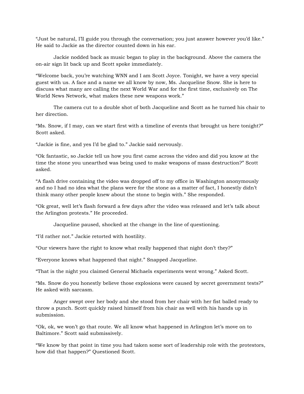"Just be natural, I'll guide you through the conversation; you just answer however you'd like." He said to Jackie as the director counted down in his ear.

Jackie nodded back as music began to play in the background. Above the camera the on-air sign lit back up and Scott spoke immediately.

"Welcome back, you're watching WNN and I am Scott Joyce. Tonight, we have a very special guest with us. A face and a name we all know by now, Ms. Jacqueline Snow. She is here to discuss what many are calling the next World War and for the first time, exclusively on The World News Network, what makes these new weapons work."

The camera cut to a double shot of both Jacqueline and Scott as he turned his chair to her direction.

"Ms. Snow, if I may, can we start first with a timeline of events that brought us here tonight?" Scott asked.

"Jackie is fine, and yes I'd be glad to." Jackie said nervously.

"Ok fantastic, so Jackie tell us how you first came across the video and did you know at the time the stone you unearthed was being used to make weapons of mass destruction?" Scott asked.

"A flash drive containing the video was dropped off to my office in Washington anonymously and no I had no idea what the plans were for the stone as a matter of fact, I honestly didn't think many other people knew about the stone to begin with." She responded.

"Ok great, well let's flash forward a few days after the video was released and let's talk about the Arlington protests." He proceeded.

Jacqueline paused, shocked at the change in the line of questioning.

"I'd rather not." Jackie retorted with hostility.

"Our viewers have the right to know what really happened that night don't they?"

"Everyone knows what happened that night." Snapped Jacqueline.

"That is the night you claimed General Michaels experiments went wrong." Asked Scott.

"Ms. Snow do you honestly believe those explosions were caused by secret government tests?" He asked with sarcasm.

Anger swept over her body and she stood from her chair with her fist balled ready to throw a punch. Scott quickly raised himself from his chair as well with his hands up in submission.

"Ok, ok, we won't go that route. We all know what happened in Arlington let's move on to Baltimore." Scott said submissively.

"We know by that point in time you had taken some sort of leadership role with the protestors, how did that happen?" Questioned Scott.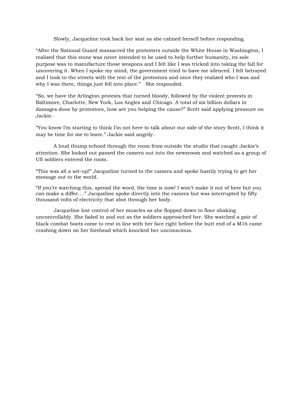Slowly, Jacqueline took back her seat as she calmed herself before responding.

"After the National Guard massacred the protesters outside the White House in Washington, I realized that this stone was never intended to be used to help further humanity, its sole purpose was to manufacture those weapons and I felt like I was tricked into taking the fall for uncovering it. When I spoke my mind, the government tried to have me silenced. I felt betrayed and I took to the streets with the rest of the protestors and once they realized who I was and why I was there, things just fell into place." She responded.

"So, we have the Arlington protests that turned bloody, followed by the violent protests in Baltimore, Charlotte, New York, Los Angles and Chicago. A total of six billion dollars in damages done by protestors, how are you helping the cause?" Scott said applying pressure on Jackie.

"You know I'm starting to think I'm not here to talk about our side of the story Scott, I think it may be time for me to leave." Jackie said angrily.

A loud thump echoed through the room from outside the studio that caught Jackie's attention. She looked out passed the camera out into the newsroom and watched as a group of US soldiers entered the room.

"This was all a set-up!" Jacqueline turned to the camera and spoke hastily trying to get her message out to the world.

"If you're watching this, spread the word, the time is now! I won't make it out of here but you can make a differ…." Jacqueline spoke directly into the camera but was interrupted by fifty thousand volts of electricity that shot through her body.

Jacqueline lost control of her muscles as she flopped down to floor shaking uncontrollably. She faded in and out as the soldiers approached her. She watched a pair of black combat boots come to rest in line with her face right before the butt end of a M16 came crashing down on her forehead which knocked her unconscious.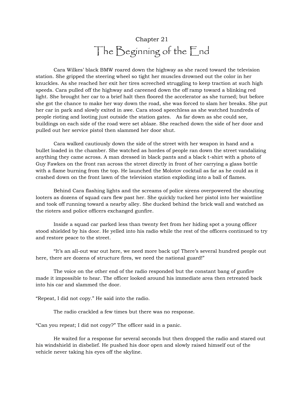# Chapter 21 The Beginning of the End

Cara Wilkes' black BMW roared down the highway as she raced toward the television station. She gripped the steering wheel so tight her muscles drowned out the color in her knuckles. As she reached her exit her tires screeched struggling to keep traction at such high speeds. Cara pulled off the highway and careened down the off ramp toward a blinking red light. She brought her car to a brief halt then floored the accelerator as she turned; but before she got the chance to make her way down the road, she was forced to slam her breaks. She put her car in park and slowly exited in awe. Cara stood speechless as she watched hundreds of people rioting and looting just outside the station gates. As far down as she could see, buildings on each side of the road were set ablaze. She reached down the side of her door and pulled out her service pistol then slammed her door shut.

Cara walked cautiously down the side of the street with her weapon in hand and a bullet loaded in the chamber. She watched as hordes of people ran down the street vandalizing anything they came across. A man dressed in black pants and a black t-shirt with a photo of Guy Fawkes on the front ran across the street directly in front of her carrying a glass bottle with a flame burning from the top. He launched the Molotov cocktail as far as he could as it crashed down on the front lawn of the television station exploding into a ball of flames.

Behind Cara flashing lights and the screams of police sirens overpowered the shouting looters as dozens of squad cars flew past her. She quickly tucked her pistol into her waistline and took off running toward a nearby alley. She ducked behind the brick wall and watched as the rioters and police officers exchanged gunfire.

Inside a squad car parked less than twenty feet from her hiding spot a young officer stood shielded by his door. He yelled into his radio while the rest of the officers continued to try and restore peace to the street.

"It's an all-out war out here, we need more back up! There's several hundred people out here, there are dozens of structure fires, we need the national guard!"

The voice on the other end of the radio responded but the constant bang of gunfire made it impossible to hear. The officer looked around his immediate area then retreated back into his car and slammed the door.

"Repeat, I did not copy." He said into the radio.

The radio crackled a few times but there was no response.

"Can you repeat; I did not copy?" The officer said in a panic.

He waited for a response for several seconds but then dropped the radio and stared out his windshield in disbelief. He pushed his door open and slowly raised himself out of the vehicle never taking his eyes off the skyline.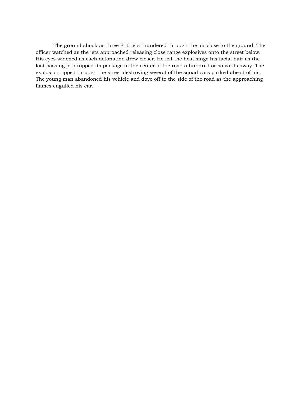The ground shook as three F16 jets thundered through the air close to the ground. The officer watched as the jets approached releasing close range explosives onto the street below. His eyes widened as each detonation drew closer. He felt the heat singe his facial hair as the last passing jet dropped its package in the center of the road a hundred or so yards away. The explosion ripped through the street destroying several of the squad cars parked ahead of his. The young man abandoned his vehicle and dove off to the side of the road as the approaching flames engulfed his car.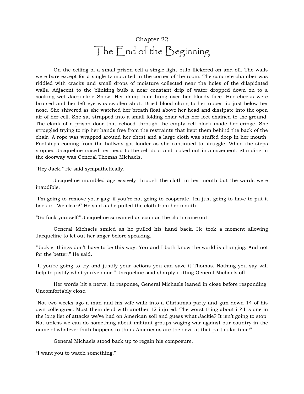# Chapter 22 The End of the Beginning

On the ceiling of a small prison cell a single light bulb flickered on and off. The walls were bare except for a single tv mounted in the corner of the room. The concrete chamber was riddled with cracks and small drops of moisture collected near the holes of the dilapidated walls. Adjacent to the blinking bulb a near constant drip of water dropped down on to a soaking wet Jacqueline Snow. Her damp hair hung over her bloody face. Her cheeks were bruised and her left eye was swollen shut. Dried blood clung to her upper lip just below her nose. She shivered as she watched her breath float above her head and dissipate into the open air of her cell. She sat strapped into a small folding chair with her feet chained to the ground. The clank of a prison door that echoed through the empty cell block made her cringe. She struggled trying to rip her hands free from the restraints that kept them behind the back of the chair. A rope was wrapped around her chest and a large cloth was stuffed deep in her mouth. Footsteps coming from the hallway got louder as she continued to struggle. When the steps stopped Jacqueline raised her head to the cell door and looked out in amazement. Standing in the doorway was General Thomas Michaels.

"Hey Jack." He said sympathetically.

Jacqueline mumbled aggressively through the cloth in her mouth but the words were inaudible.

"I'm going to remove your gag; if you're not going to cooperate, I'm just going to have to put it back in. We clear?" He said as he pulled the cloth from her mouth.

"Go fuck yourself!" Jacqueline screamed as soon as the cloth came out.

General Michaels smiled as he pulled his hand back. He took a moment allowing Jacqueline to let out her anger before speaking.

"Jackie, things don't have to be this way. You and I both know the world is changing. And not for the better." He said.

"If you're going to try and justify your actions you can save it Thomas. Nothing you say will help to justify what you've done." Jacqueline said sharply cutting General Michaels off.

Her words hit a nerve. In response, General Michaels leaned in close before responding. Uncomfortably close.

"Not two weeks ago a man and his wife walk into a Christmas party and gun down 14 of his own colleagues. Most them dead with another 12 injured. The worst thing about it? It's one in the long list of attacks we've had on American soil and guess what Jackie? It isn't going to stop. Not unless we can do something about militant groups waging war against our country in the name of whatever faith happens to think Americans are the devil at that particular time!"

General Michaels stood back up to regain his composure.

"I want you to watch something."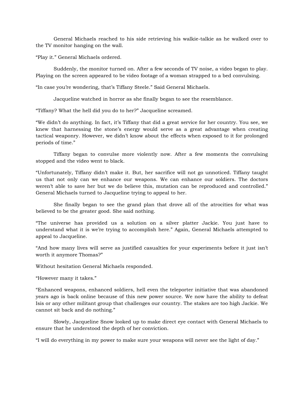General Michaels reached to his side retrieving his walkie-talkie as he walked over to the TV monitor hanging on the wall.

"Play it." General Michaels ordered.

Suddenly, the monitor turned on. After a few seconds of TV noise, a video began to play. Playing on the screen appeared to be video footage of a woman strapped to a bed convulsing.

"In case you're wondering, that's Tiffany Steele." Said General Michaels.

Jacqueline watched in horror as she finally began to see the resemblance.

"Tiffany? What the hell did you do to her?" Jacqueline screamed.

"We didn't do anything. In fact, it's Tiffany that did a great service for her country. You see, we knew that harnessing the stone's energy would serve as a great advantage when creating tactical weaponry. However, we didn't know about the effects when exposed to it for prolonged periods of time."

Tiffany began to convulse more violently now. After a few moments the convulsing stopped and the video went to black.

"Unfortunately, Tiffany didn't make it. But, her sacrifice will not go unnoticed. Tiffany taught us that not only can we enhance our weapons. We can enhance our soldiers. The doctors weren't able to save her but we do believe this, mutation can be reproduced and controlled." General Michaels turned to Jacqueline trying to appeal to her.

She finally began to see the grand plan that drove all of the atrocities for what was believed to be the greater good. She said nothing.

"The universe has provided us a solution on a silver platter Jackie. You just have to understand what it is we're trying to accomplish here." Again, General Michaels attempted to appeal to Jacqueline.

"And how many lives will serve as justified casualties for your experiments before it just isn't worth it anymore Thomas?"

Without hesitation General Michaels responded.

"However many it takes."

"Enhanced weapons, enhanced soldiers, hell even the teleporter initiative that was abandoned years ago is back online because of this new power source. We now have the ability to defeat Isis or any other militant group that challenges our country. The stakes are too high Jackie. We cannot sit back and do nothing."

Slowly, Jacqueline Snow looked up to make direct eye contact with General Michaels to ensure that he understood the depth of her conviction.

"I will do everything in my power to make sure your weapons will never see the light of day."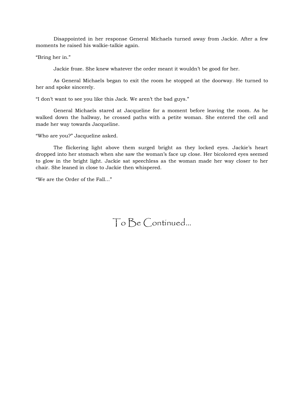Disappointed in her response General Michaels turned away from Jackie. After a few moments he raised his walkie-talkie again.

"Bring her in."

Jackie froze. She knew whatever the order meant it wouldn't be good for her.

As General Michaels began to exit the room he stopped at the doorway. He turned to her and spoke sincerely.

"I don't want to see you like this Jack. We aren't the bad guys."

General Michaels stared at Jacqueline for a moment before leaving the room. As he walked down the hallway, he crossed paths with a petite woman. She entered the cell and made her way towards Jacqueline.

"Who are you?" Jacqueline asked.

The flickering light above them surged bright as they locked eyes. Jackie's heart dropped into her stomach when she saw the woman's face up close. Her bicolored eyes seemed to glow in the bright light. Jackie sat speechless as the woman made her way closer to her chair. She leaned in close to Jackie then whispered.

"We are the Order of the Fall..."

To Be Continued…